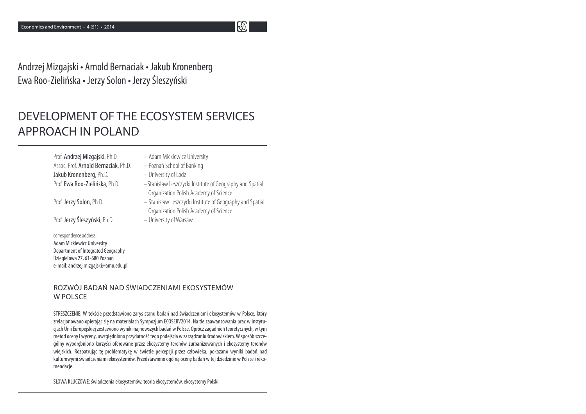Andrzej Mizgajski • Arnold Bernaciak • Jakub Kronenberg Ewa Roo-Zielińska • Jerzy Solon • Jerzy Śleszyński

# DEVELOPMENT OF THE ECOSYSTEM SERVICES APPROACH IN POLAND

Prof. Andrzej Mizgajski, Ph.D. – Adam Mickiewicz UniversityAssoc. Prof. Arnold Bernaciak, Ph.D. – Poznań School of BankingJakub Kronenberg, Ph.D. – University of Lodz

Prof. Jerzy Śleszyński, Ph.D. – University of Warsaw

correspondence address: Adam Mickiewicz University Department of Integrated GeographyDziegielowa 27, 61-680 Poznane-mail: andrzej.mizgajski@amu.edu.pl

Prof. Ewa Roo-Zielińska, Ph.D. – Stanisław Leszczycki Institute of Geography and Spatial Organization Polish Academy of Science

 $\mathbf{E}$ 

- Prof. Jerzy Solon, Ph.D. Stanisław Leszczycki Institute of Geography and Spatial Organization Polish Academy of Science
	-

ROZWÓJ BADAŃ NAD ŚWIADCZENIAMI EKOSYSTEMÓW W POLSCE

STRESZCZENIE: W tekście przedstawiono zarys stanu badań nad świadczeniami ekosystemów w Polsce, który zrelacjonowano opierając się na materiałach Sympozjum ECOSERV2014. Na tle zaawansowania prac w instytu cjach Unii Europejskiej zestawiono wyniki najnowszych badań w Polsce. Oprócz zagadnień teoretycznych, w tym metod oceny i wyceny, uwzględniono przydatność tego podejścia w zarządzaniu środowiskiem. W sposób szczególny wyodrębniono korzyści oferowane przez ekosystemy terenów zurbanizowanych i ekosystemy terenów wiejskich. Rozpatrując tę problematykę w świetle percepcji przez człowieka, pokazano wyniki badań nad kulturowymi świadczeniami ekosystemów. Przedstawiono ogólną ocenę badań w tej dziedzinie w Polsce i rekomendacje.

SŁOWA KLUCZOWE: świadczenia ekosystemów, teoria ekosystemów, ekosystemy Polski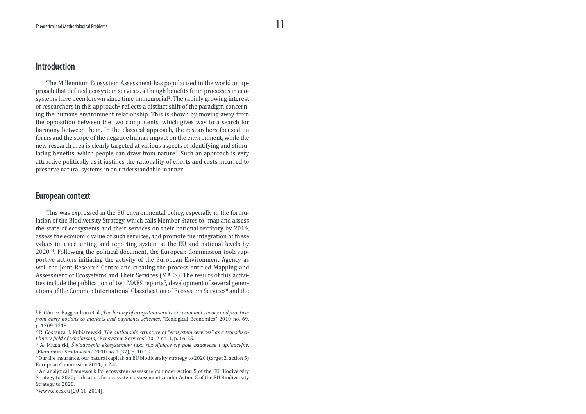## Introduction

 The Millennium Ecosystem Assessment has popularised in the world an approach that defined ecosystem services, although benefits from processes in ecosystems have been known since time immemorial<sup>1</sup>. The rapidly growing interest of researchers in this approach<sup>2</sup> reflects a distinct shift of the paradigm concerning the humans environment relationship. This is shown by moving away from the opposition between the two components, which gives way to a search for harmony between them. In the classical approach, the researchers focused on forms and the scope of the negative human impact on the environment, while the new research area is clearly targeted at various aspects of identifying and stimulating benefits, which people can draw from nature<sup>3</sup>. Such an approach is very attractive politically as it justifies the rationality of efforts and costs incurred to preserve natural systems in an understandable manner.

#### European context

 This was expressed in the EU environmental policy, especially in the formulation of the Biodiversity Strategy, which calls Member States to "map and assess the state of ecosystems and their services on their national territory by 2014, assess the economic value of such services, and promote the integration of these values into accounting and reporting system at the EU and national levels by 2020"4. Following the political document, the European Commission took supportive actions initiating the activity of the European Environment Agency as well the Joint Research Centre and creating the process entitled Mapping and Assessment of Ecosystems and Their Services (MAES). The results of this activities include the publication of two MAES reports<sup>5</sup>, development of several generations of the Common International Classification of Ecosystem Services<sup>6</sup> and the

<sup>&</sup>lt;sup>1</sup> E. Gómez-Baggenthun et al., *The history of ecosystem services in economic theory and practice:* from early notions to markets and payments schemes, "Ecological Economics" 2010 no. 69, p. 1209-1218.

 $^{\rm 2}$  R. Costanza, I. Kubiszewski, *The authorship structure of "ecosystem services" as a transdisci*plinary field of scholarship, "Ecosystem Services" 2012 no. 1, p. 16-25.

<sup>3</sup> A. Mizgajski, Świadczenia ekosystemów jako rozwijające się pole badawcze i aplikacyjne, "Ekonomia i Środowisko" 2010 no. 1(37), p. 10-19.

<sup>4</sup> Our life insurance, our natural capital: an EU biodiversity strategy to 2020 (target 2, action 5) European Commission 2011, p. 244.

<sup>5</sup> An analytical framework for ecosystem assessments under Action 5 of the EU Biodiversity Strategy to 2020; Indicators for ecosystem assessments under Action 5 of the EU Biodiversity Strategy to 2020.

<sup>6</sup> www.cices.eu [20-10-2014].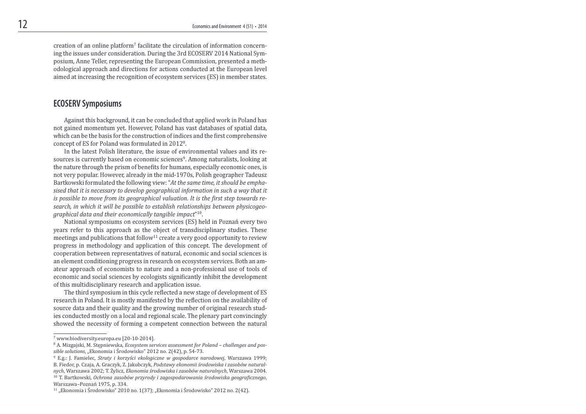creation of an online platform7 facilitate the circulation of information concerning the issues under consideration. During the 3rd ECOSERV 2014 National Symposium, Anne Teller, representing the European Commission, presented a methodological approach and directions for actions conducted at the European level aimed at increasing the recognition of ecosystem services (ES) in member states.

# ECOSERV Symposiums

 Against this background, it can be concluded that applied work in Poland has not gained momentum yet. However, Poland has vast databases of spatial data, which can be the basis for the construction of indices and the first comprehensive concept of ES for Poland was formulated in 2012<sup>8</sup>.

 In the latest Polish literature, the issue of environmental values and its resources is currently based on economic sciences9. Among naturalists, looking at the nature through the prism of benefits for humans, especially economic ones, is not very popular. However, already in the mid-1970s, Polish geographer Tadeusz Bartkowski formulated the following view: "At the same time, it should be emphasised that it is necessary to develop geographical information in such a way that it is possible to move from its geographical valuation. It is the first step towards research, in which it will be possible to establish relationships between physicogeographical data and their economically tangible impact"10.

 National symposiums on ecosystem services (ES) held in Poznań every two years refer to this approach as the object of transdisciplinary studies. These meetings and publications that follow<sup>11</sup> create a very good opportunity to review progress in methodology and application of this concept. The development of cooperation between representatives of natural, economic and social sciences is an element conditioning progress in research on ecosystem services. Both an amateur approach of economists to nature and a non-professional use of tools of economic and social sciences by ecologists significantly inhibit the development of this multidisciplinary research and application issue.

The third symposium in this cycle reflected a new stage of development of ES research in Poland. It is mostly manifested by the reflection on the availability of source data and their quality and the growing number of original research studies conducted mostly on a local and regional scale. The plenary part convincingly showed the necessity of forming a competent connection between the natural

<sup>7</sup> www.biodiversity.europa.eu [20-10-2014].

<sup>&</sup>lt;sup>8</sup> A. Mizgajski, M. Stepniewska, *Ecosystem services assessment for Poland – challenges and pos*sible solutions, "Ekonomia i Środowisko" 2012 no. 2(42), p. 54-73.

<sup>9</sup> E.g.: J. Famielec, Straty i korzyści ekologiczne w gospodarce narodowej, Warszawa 1999; B. Fiedor, p. Czaja, A. Graczyk, Z. Jakubczyk, Podstawy ekonomii środowiska i zasobów naturalnych, Warszawa 2002; T. Żylicz, Ekonomia środowiska i zasobów naturalnych, Warszawa 2004.  $10$  T. Bartkowski, Ochrona zasobów przyrody i zagospodarowania środowiska geograficznego,

Warszawa–Poznań 1975, p. 334.  $^{11}$  "Ekonomia i Środowisko" 2010 no. 1(37); "Ekonomia i Środowisko" 2012 no. 2(42).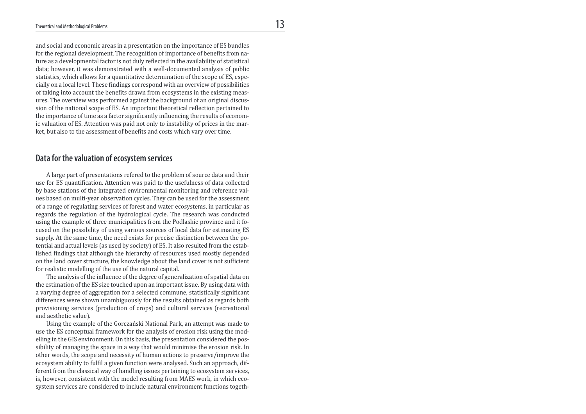and social and economic areas in a presentation on the importance of ES bundles for the regional development. The recognition of importance of benefits from nature as a developmental factor is not duly relected in the availability of statistical data; however, it was demonstrated with a well-documented analysis of public statistics, which allows for a quantitative determination of the scope of ES, especially on a local level. These findings correspond with an overview of possibilities of taking into account the beneits drawn from ecosystems in the existing measures. The overview was performed against the background of an original discussion of the national scope of ES. An important theoretical relection pertained to the importance of time as a factor significantly influencing the results of economic valuation of ES. Attention was paid not only to instability of prices in the market, but also to the assessment of benefits and costs which vary over time.

## Data for the valuation of ecosystem services

 A large part of presentations refered to the problem of source data and their use for ES quantiication. Attention was paid to the usefulness of data collected by base stations of the integrated environmental monitoring and reference values based on multi-year observation cycles. They can be used for the assessment of a range of regulating services of forest and water ecosystems, in particular as regards the regulation of the hydrological cycle. The research was conducted using the example of three municipalities from the Podlaskie province and it focused on the possibility of using various sources of local data for estimating ES supply. At the same time, the need exists for precise distinction between the potential and actual levels (as used by society) of ES. It also resulted from the established findings that although the hierarchy of resources used mostly depended on the land cover structure, the knowledge about the land cover is not suficient for realistic modelling of the use of the natural capital.

 The analysis of the inluence of the degree of generalization of spatial data on the estimation of the ES size touched upon an important issue. By using data with a varying degree of aggregation for a selected commune, statistically significant differences were shown unambiguously for the results obtained as regards both provisioning services (production of crops) and cultural services (recreational and aesthetic value).

 Using the example of the Gorczański National Park, an attempt was made to use the ES conceptual framework for the analysis of erosion risk using the modelling in the GIS environment. On this basis, the presentation considered the possibility of managing the space in a way that would minimise the erosion risk. In other words, the scope and necessity of human actions to preserve/improve the ecosystem ability to fulfil a given function were analysed. Such an approach, different from the classical way of handling issues pertaining to ecosystem services, is, however, consistent with the model resulting from MAES work, in which ecosystem services are considered to include natural environment functions togeth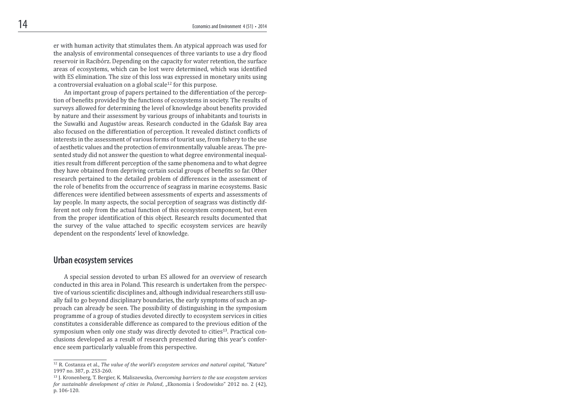er with human activity that stimulates them. An atypical approach was used for the analysis of environmental consequences of three variants to use a dry lood reservoir in Racibórz. Depending on the capacity for water retention, the surface areas of ecosystems, which can be lost were determined, which was identified with ES elimination. The size of this loss was expressed in monetary units using a controversial evaluation on a global scale<sup>12</sup> for this purpose.

 An important group of papers pertained to the differentiation of the perception of benefits provided by the functions of ecosystems in society. The results of surveys allowed for determining the level of knowledge about benefits provided by nature and their assessment by various groups of inhabitants and tourists in the Suwałki and Augustów areas. Research conducted in the Gdańsk Bay area also focused on the differentiation of perception. It revealed distinct conlicts of interests in the assessment of various forms of tourist use, from ishery to the use of aesthetic values and the protection of environmentally valuable areas. The presented study did not answer the question to what degree environmental inequalities result from different perception of the same phenomena and to what degree they have obtained from depriving certain social groups of beneits so far. Other research pertained to the detailed problem of differences in the assessment of the role of benefits from the occurrence of seagrass in marine ecosystems. Basic differences were identified between assessments of experts and assessments of lay people. In many aspects, the social perception of seagrass was distinctly different not only from the actual function of this ecosystem component, but even from the proper identification of this object. Research results documented that the survey of the value attached to specific ecosystem services are heavily dependent on the respondents' level of knowledge.

#### Urban ecosystem services

 A special session devoted to urban ES allowed for an overview of research conducted in this area in Poland. This research is undertaken from the perspective of various scientific disciplines and, although individual researchers still usually fail to go beyond disciplinary boundaries, the early symptoms of such an approach can already be seen. The possibility of distinguishing in the symposium programme of a group of studies devoted directly to ecosystem services in cities constitutes a considerable difference as compared to the previous edition of the symposium when only one study was directly devoted to cities<sup>13</sup>. Practical conclusions developed as a result of research presented during this year's conference seem particularly valuable from this perspective.

<sup>&</sup>lt;sup>12</sup> R. Costanza et al., The value of the world's ecosystem services and natural capital, "Nature" 1997 no. 387, p. 253-260.

<sup>&</sup>lt;sup>13</sup> J. Kronenberg, T. Bergier, K. Maliszewska, Overcoming barriers to the use ecosystem services for sustainable development of cities in Poland, "Ekonomia i Środowisko" 2012 no. 2 (42), p. 106-120.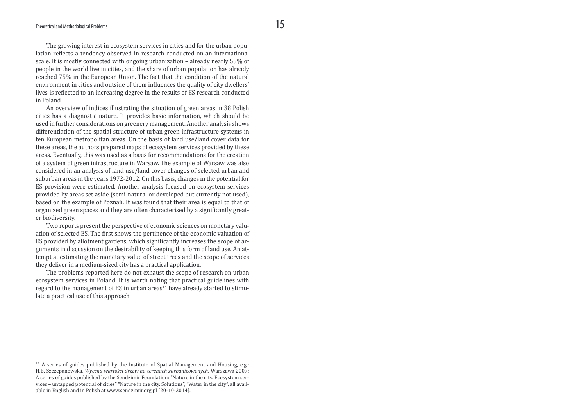The growing interest in ecosystem services in cities and for the urban population reflects a tendency observed in research conducted on an international scale. It is mostly connected with ongoing urbanization – already nearly 55% of people in the world live in cities, and the share of urban population has already reached 75% in the European Union. The fact that the condition of the natural environment in cities and outside of them influences the quality of city dwellers' lives is relected to an increasing degree in the results of ES research conducted in Poland.

 An overview of indices illustrating the situation of green areas in 38 Polish cities has a diagnostic nature. It provides basic information, which should be used in further considerations on greenery management. Another analysis shows differentiation of the spatial structure of urban green infrastructure systems in ten European metropolitan areas. On the basis of land use/land cover data for these areas, the authors prepared maps of ecosystem services provided by these areas. Eventually, this was used as a basis for recommendations for the creation of a system of green infrastructure in Warsaw. The example of Warsaw was also considered in an analysis of land use/land cover changes of selected urban and suburban areas in the years 1972-2012. On this basis, changes in the potential for ES provision were estimated. Another analysis focused on ecosystem services provided by areas set aside (semi-natural or developed but currently not used), based on the example of Poznań. It was found that their area is equal to that of organized green spaces and they are often characterised by a significantly greater biodiversity.

 Two reports present the perspective of economic sciences on monetary valuation of selected ES. The first shows the pertinence of the economic valuation of ES provided by allotment gardens, which significantly increases the scope of arguments in discussion on the desirability of keeping this form of land use. An attempt at estimating the monetary value of street trees and the scope of services they deliver in a medium-sized city has a practical application.

 The problems reported here do not exhaust the scope of research on urban ecosystem services in Poland. It is worth noting that practical guidelines with regard to the management of ES in urban areas<sup>14</sup> have already started to stimulate a practical use of this approach.

<sup>&</sup>lt;sup>14</sup> A series of guides published by the Institute of Spatial Management and Housing, e.g.: H.B. Szczepanowska, Wycena wartości drzew na terenach zurbanizowanych, Warszawa 2007; A series of guides published by the Sendzimir Foundation: "Nature in the city. Ecosystem services – untapped potential of cities" "Nature in the city. Solutions", "Water in the city", all available in English and in Polish at www.sendzimir.org.pl [20-10-2014].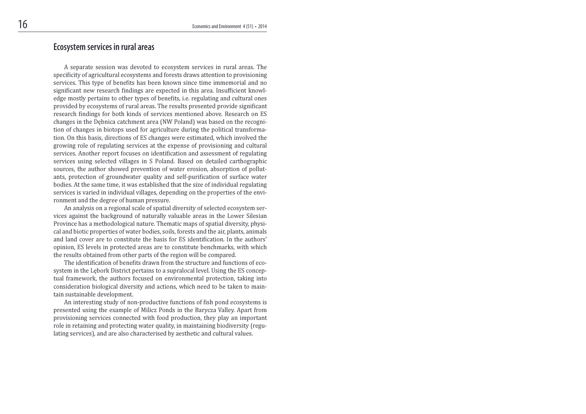# Ecosystem services in rural areas

 A separate session was devoted to ecosystem services in rural areas. The specificity of agricultural ecosystems and forests draws attention to provisioning services. This type of benefits has been known since time immemorial and no significant new research findings are expected in this area. Insufficient knowledge mostly pertains to other types of beneits, i.e. regulating and cultural ones provided by ecosystems of rural areas. The results presented provide significant research findings for both kinds of services mentioned above. Research on ES changes in the Dębnica catchment area (NW Poland) was based on the recognition of changes in biotops used for agriculture during the political transformation. On this basis, directions of ES changes were estimated, which involved the growing role of regulating services at the expense of provisioning and cultural services. Another report focuses on identiication and assessment of regulating services using selected villages in S Poland. Based on detailed carthographic sources, the author showed prevention of water erosion, absorption of pollutants, protection of groundwater quality and self-purification of surface water bodies. At the same time, it was established that the size of individual regulating services is varied in individual villages, depending on the properties of the environment and the degree of human pressure.

 An analysis on a regional scale of spatial diversity of selected ecosystem services against the background of naturally valuable areas in the Lower Silesian Province has a methodological nature. Thematic maps of spatial diversity, physical and biotic properties of water bodies, soils, forests and the air, plants, animals and land cover are to constitute the basis for ES identification. In the authors' opinion, ES levels in protected areas are to constitute benchmarks, with which the results obtained from other parts of the region will be compared.

The identification of benefits drawn from the structure and functions of ecosystem in the Lębork District pertains to a supralocal level. Using the ES conceptual framework, the authors focused on environmental protection, taking into consideration biological diversity and actions, which need to be taken to maintain sustainable development.

 An interesting study of non-productive functions of ish pond ecosystems is presented using the example of Milicz Ponds in the Barycza Valley. Apart from provisioning services connected with food production, they play an important role in retaining and protecting water quality, in maintaining biodiversity (regulating services), and are also characterised by aesthetic and cultural values.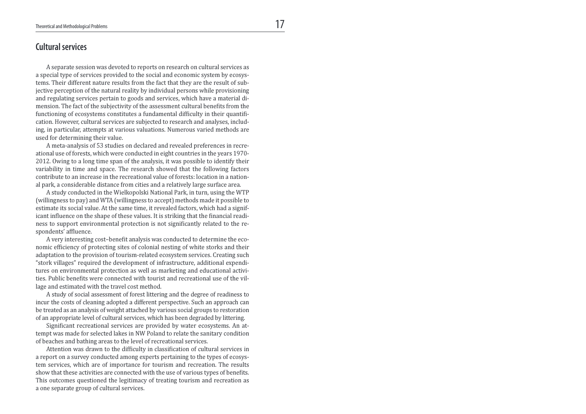#### Cultural services

 A separate session was devoted to reports on research on cultural services as a special type of services provided to the social and economic system by ecosystems. Their different nature results from the fact that they are the result of subjective perception of the natural reality by individual persons while provisioning and regulating services pertain to goods and services, which have a material dimension. The fact of the subjectivity of the assessment cultural beneits from the functioning of ecosystems constitutes a fundamental dificulty in their quantiication. However, cultural services are subjected to research and analyses, including, in particular, attempts at various valuations. Numerous varied methods are used for determining their value.

 A meta-analysis of 53 studies on declared and revealed preferences in recreational use of forests, which were conducted in eight countries in the years 1970- 2012. Owing to a long time span of the analysis, it was possible to identify their variability in time and space. The research showed that the following factors contribute to an increase in the recreational value of forests: location in a national park, a considerable distance from cities and a relatively large surface area.

 A study conducted in the Wielkopolski National Park, in turn, using the WTP (willingness to pay) and WTA (willingness to accept) methods made it possible to estimate its social value. At the same time, it revealed factors, which had a significant influence on the shape of these values. It is striking that the financial readiness to support environmental protection is not significantly related to the respondents' afluence.

A very interesting cost-benefit analysis was conducted to determine the economic eficiency of protecting sites of colonial nesting of white storks and their adaptation to the provision of tourism-related ecosystem services. Creating such "stork villages" required the development of infrastructure, additional expenditures on environmental protection as well as marketing and educational activities. Public benefits were connected with tourist and recreational use of the village and estimated with the travel cost method.

 A study of social assessment of forest littering and the degree of readiness to incur the costs of cleaning adopted a different perspective. Such an approach can be treated as an analysis of weight attached by various social groups to restoration of an appropriate level of cultural services, which has been degraded by littering.

Significant recreational services are provided by water ecosystems. An attempt was made for selected lakes in NW Poland to relate the sanitary condition of beaches and bathing areas to the level of recreational services.

Attention was drawn to the difficulty in classification of cultural services in a report on a survey conducted among experts pertaining to the types of ecosystem services, which are of importance for tourism and recreation. The results show that these activities are connected with the use of various types of benefits. This outcomes questioned the legitimacy of treating tourism and recreation as a one separate group of cultural services.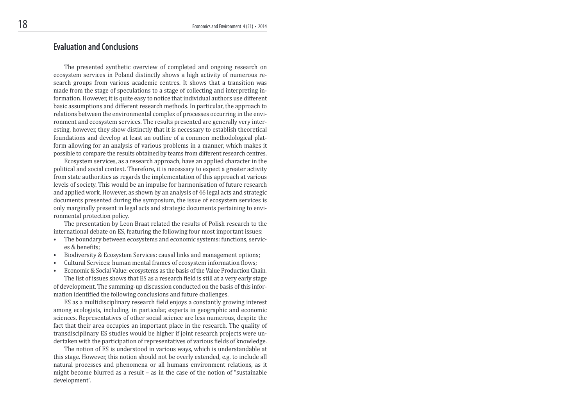## Evaluation and Conclusions

 The presented synthetic overview of completed and ongoing research on ecosystem services in Poland distinctly shows a high activity of numerous research groups from various academic centres. It shows that a transition was made from the stage of speculations to a stage of collecting and interpreting information. However, it is quite easy to notice that individual authors use different basic assumptions and different research methods. In particular, the approach to relations between the environmental complex of processes occurring in the environment and ecosystem services. The results presented are generally very interesting, however, they show distinctly that it is necessary to establish theoretical foundations and develop at least an outline of a common methodological platform allowing for an analysis of various problems in a manner, which makes it possible to compare the results obtained by teams from different research centres.

 Ecosystem services, as a research approach, have an applied character in the political and social context. Therefore, it is necessary to expect a greater activity from state authorities as regards the implementation of this approach at various levels of society. This would be an impulse for harmonisation of future research and applied work. However, as shown by an analysis of 46 legal acts and strategic documents presented during the symposium, the issue of ecosystem services is only marginally present in legal acts and strategic documents pertaining to environmental protection policy.

 The presentation by Leon Braat related the results of Polish research to the international debate on ES, featuring the following four most important issues:

- The boundary between ecosystems and economic systems: functions, services & benefits:
- Biodiversity & Ecosystem Services: causal links and management options;
- Cultural Services: human mental frames of ecosystem information lows;
- Economic & Social Value: ecosystems as the basis of the Value Production Chain. The list of issues shows that ES as a research field is still at a very early stage of development. The summing-up discussion conducted on the basis of this information identified the following conclusions and future challenges.

 ES as a multidisciplinary research ield enjoys a constantly growing interest among ecologists, including, in particular, experts in geographic and economic sciences. Representatives of other social science are less numerous, despite the fact that their area occupies an important place in the research. The quality of transdisciplinary ES studies would be higher if joint research projects were undertaken with the participation of representatives of various fields of knowledge.

 The notion of ES is understood in various ways, which is understandable at this stage. However, this notion should not be overly extended, e.g. to include all natural processes and phenomena or all humans environment relations, as it might become blurred as a result – as in the case of the notion of "sustainable development".